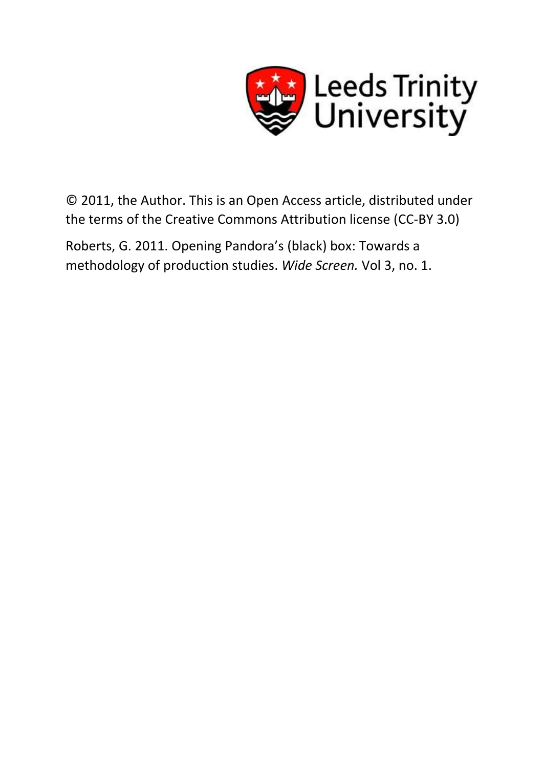

© 2011, the Author. This is an Open Access article, distributed under the terms of the Creative Commons Attribution license (CC-BY 3.0)

Roberts, G. 2011. Opening Pandora's (black) box: Towards a methodology of production studies. *Wide Screen.* Vol 3, no. 1.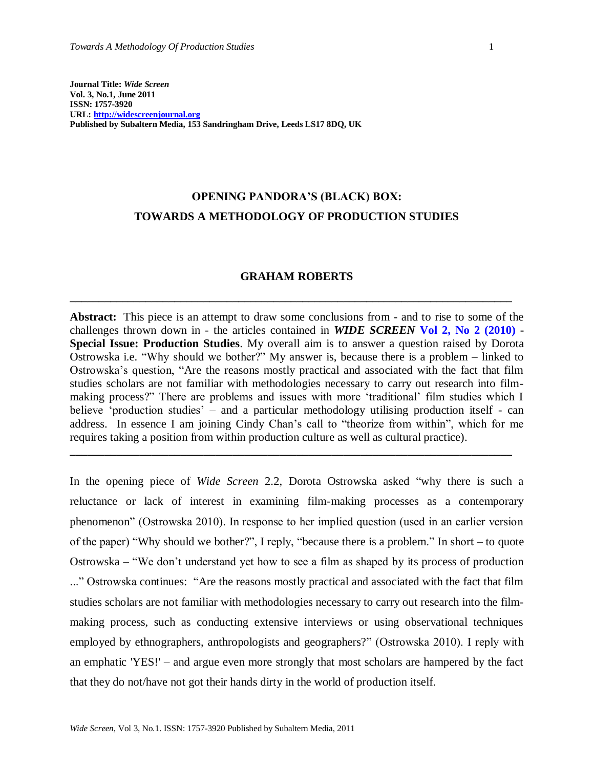# **OPENING PANDORA'S (BLACK) BOX: TOWARDS A METHODOLOGY OF PRODUCTION STUDIES**

### **GRAHAM ROBERTS**

**\_\_\_\_\_\_\_\_\_\_\_\_\_\_\_\_\_\_\_\_\_\_\_\_\_\_\_\_\_\_\_\_\_\_\_\_\_\_\_\_\_\_\_\_\_\_\_\_\_\_\_\_\_\_\_\_\_\_\_\_\_\_\_\_\_\_\_\_\_\_\_\_\_\_\_\_**

**Abstract:** This piece is an attempt to draw some conclusions from - and to rise to some of the challenges thrown down in - the articles contained in *WIDE SCREEN* **[Vol 2, No 2 \(2010\)](http://widescreenjournal.org/index.php/journal/issue/current) - Special Issue: Production Studies**. My overall aim is to answer a question raised by Dorota Ostrowska i.e. "Why should we bother?" My answer is, because there is a problem – linked to Ostrowska"s question, "Are the reasons mostly practical and associated with the fact that film studies scholars are not familiar with methodologies necessary to carry out research into filmmaking process?" There are problems and issues with more "traditional" film studies which I believe 'production studies' – and a particular methodology utilising production itself - can address. In essence I am joining Cindy Chan"s call to "theorize from within", which for me requires taking a position from within production culture as well as cultural practice).

**\_\_\_\_\_\_\_\_\_\_\_\_\_\_\_\_\_\_\_\_\_\_\_\_\_\_\_\_\_\_\_\_\_\_\_\_\_\_\_\_\_\_\_\_\_\_\_\_\_\_\_\_\_\_\_\_\_\_\_\_\_\_\_\_\_\_\_\_\_\_\_\_\_\_\_\_**

In the opening piece of *Wide Screen* 2.2, Dorota Ostrowska asked "why there is such a reluctance or lack of interest in examining film-making processes as a contemporary phenomenon" (Ostrowska 2010). In response to her implied question (used in an earlier version of the paper) "Why should we bother?", I reply, "because there is a problem." In short – to quote Ostrowska – "We don"t understand yet how to see a film as shaped by its process of production ..." Ostrowska continues: "Are the reasons mostly practical and associated with the fact that film studies scholars are not familiar with methodologies necessary to carry out research into the filmmaking process, such as conducting extensive interviews or using observational techniques employed by ethnographers, anthropologists and geographers?" (Ostrowska 2010). I reply with an emphatic 'YES!' – and argue even more strongly that most scholars are hampered by the fact that they do not/have not got their hands dirty in the world of production itself.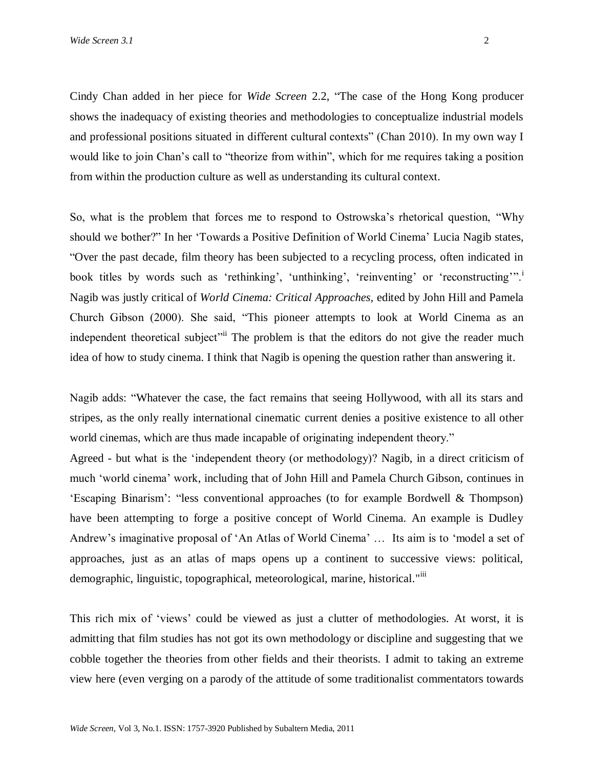Cindy Chan added in her piece for *Wide Screen* 2.2, "The case of the Hong Kong producer shows the inadequacy of existing theories and methodologies to conceptualize industrial models and professional positions situated in different cultural contexts" (Chan 2010). In my own way I would like to join Chan"s call to "theorize from within", which for me requires taking a position from within the production culture as well as understanding its cultural context.

So, what is the problem that forces me to respond to Ostrowska"s rhetorical question, "Why should we bother?" In her "Towards a Positive Definition of World Cinema" Lucia Nagib states, "Over the past decade, film theory has been subjected to a recycling process, often indicated in book titles by words such as 'rethinking', 'unthinking', 'reinventing' or 'reconstructing'". Nagib was justly critical of *World Cinema: Critical Approaches,* edited by John Hill and Pamela Church Gibson (2000). She said, "This pioneer attempts to look at World Cinema as an independent theoretical subject<sup>"ii</sup> The problem is that the editors do not give the reader much idea of how to study cinema. I think that Nagib is opening the question rather than answering it.

Nagib adds: "Whatever the case, the fact remains that seeing Hollywood, with all its stars and stripes, as the only really international cinematic current denies a positive existence to all other world cinemas, which are thus made incapable of originating independent theory."

Agreed - but what is the "independent theory (or methodology)? Nagib, in a direct criticism of much "world cinema" work, including that of John Hill and Pamela Church Gibson, continues in "Escaping Binarism": "less conventional approaches (to for example Bordwell & Thompson) have been attempting to forge a positive concept of World Cinema. An example is Dudley Andrew"s imaginative proposal of "An Atlas of World Cinema" … Its aim is to "model a set of approaches, just as an atlas of maps opens up a continent to successive views: political, demographic, linguistic, topographical, meteorological, marine, historical."iii

This rich mix of "views" could be viewed as just a clutter of methodologies. At worst, it is admitting that film studies has not got its own methodology or discipline and suggesting that we cobble together the theories from other fields and their theorists. I admit to taking an extreme view here (even verging on a parody of the attitude of some traditionalist commentators towards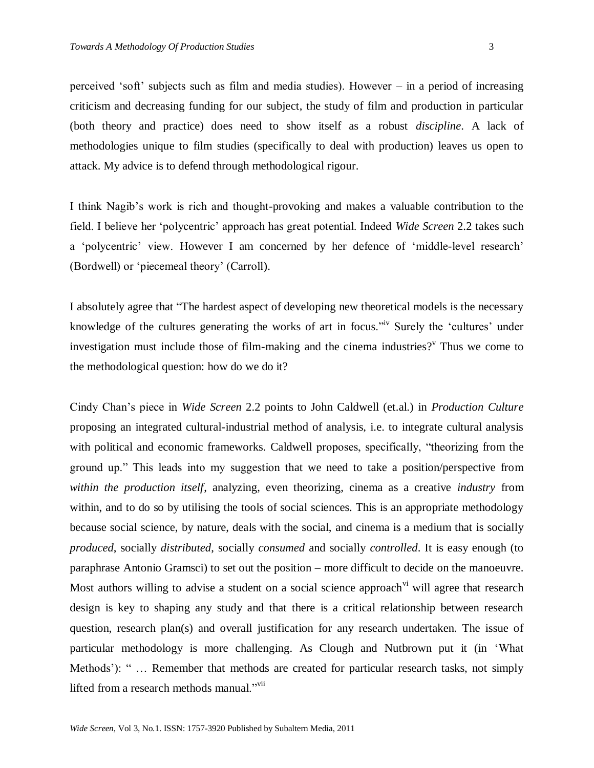perceived 'soft' subjects such as film and media studies). However  $-$  in a period of increasing criticism and decreasing funding for our subject, the study of film and production in particular (both theory and practice) does need to show itself as a robust *discipline*. A lack of methodologies unique to film studies (specifically to deal with production) leaves us open to attack. My advice is to defend through methodological rigour.

I think Nagib"s work is rich and thought-provoking and makes a valuable contribution to the field. I believe her "polycentric" approach has great potential. Indeed *Wide Screen* 2.2 takes such a 'polycentric' view. However I am concerned by her defence of 'middle-level research' (Bordwell) or "piecemeal theory" (Carroll).

I absolutely agree that "The hardest aspect of developing new theoretical models is the necessary knowledge of the cultures generating the works of art in focus.<sup>"<sup>iv</sup> Surely the 'cultures' under</sup> investigation must include those of film-making and the cinema industries?<sup> $v$ </sup> Thus we come to the methodological question: how do we do it?

Cindy Chan"s piece in *Wide Screen* 2.2 points to John Caldwell (et.al.) in *Production Culture* proposing an integrated cultural-industrial method of analysis, i.e. to integrate cultural analysis with political and economic frameworks. Caldwell proposes, specifically, "theorizing from the ground up." This leads into my suggestion that we need to take a position/perspective from *within the production itself*, analyzing, even theorizing, cinema as a creative *industry* from within, and to do so by utilising the tools of social sciences. This is an appropriate methodology because social science, by nature, deals with the social, and cinema is a medium that is socially *produced*, socially *distributed*, socially *consumed* and socially *controlled*. It is easy enough (to paraphrase Antonio Gramsci) to set out the position – more difficult to decide on the manoeuvre. Most authors willing to advise a student on a social science approach  $\alpha$ <sup>i</sup> will agree that research design is key to shaping any study and that there is a critical relationship between research question, research plan(s) and overall justification for any research undertaken. The issue of particular methodology is more challenging. As Clough and Nutbrown put it (in "What Methods'): " ... Remember that methods are created for particular research tasks, not simply lifted from a research methods manual."<sup>vii</sup>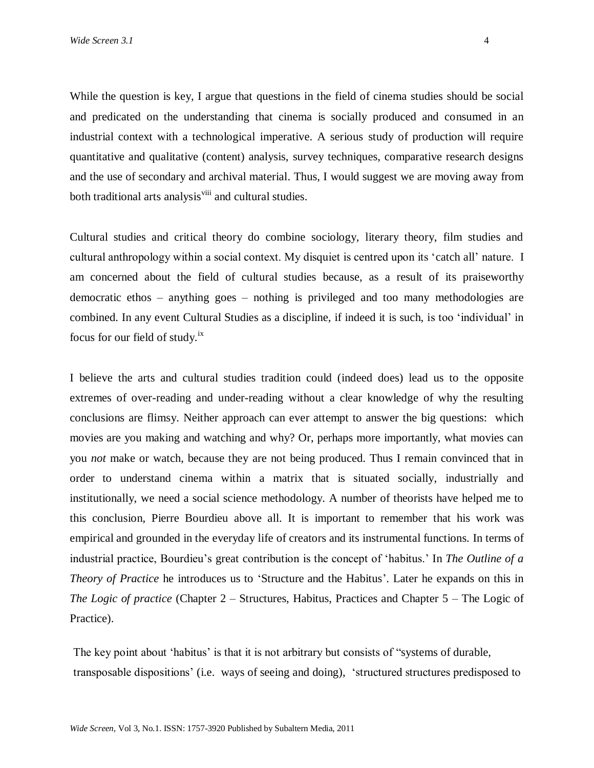While the question is key, I argue that questions in the field of cinema studies should be social and predicated on the understanding that cinema is socially produced and consumed in an industrial context with a technological imperative. A serious study of production will require quantitative and qualitative (content) analysis, survey techniques, comparative research designs and the use of secondary and archival material. Thus, I would suggest we are moving away from both traditional arts analysis<sup>viii</sup> and cultural studies.

Cultural studies and critical theory do combine sociology, literary theory, film studies and cultural anthropology within a social context. My disquiet is centred upon its "catch all" nature. I am concerned about the field of cultural studies because, as a result of its praiseworthy democratic ethos – anything goes – nothing is privileged and too many methodologies are combined. In any event Cultural Studies as a discipline, if indeed it is such, is too "individual" in focus for our field of study.ix

I believe the arts and cultural studies tradition could (indeed does) lead us to the opposite extremes of over-reading and under-reading without a clear knowledge of why the resulting conclusions are flimsy. Neither approach can ever attempt to answer the big questions: which movies are you making and watching and why? Or, perhaps more importantly, what movies can you *not* make or watch, because they are not being produced. Thus I remain convinced that in order to understand cinema within a matrix that is situated socially, industrially and institutionally, we need a social science methodology. A number of theorists have helped me to this conclusion, Pierre Bourdieu above all. It is important to remember that his work was empirical and grounded in the everyday life of creators and its instrumental functions. In terms of industrial practice, Bourdieu"s great contribution is the concept of "habitus." In *The Outline of a Theory of Practice* he introduces us to 'Structure and the Habitus'. Later he expands on this in *The Logic of practice* (Chapter 2 – Structures, Habitus, Practices and Chapter 5 – The Logic of Practice).

The key point about 'habitus' is that it is not arbitrary but consists of "systems of durable, transposable dispositions" (i.e. ways of seeing and doing), "structured structures predisposed to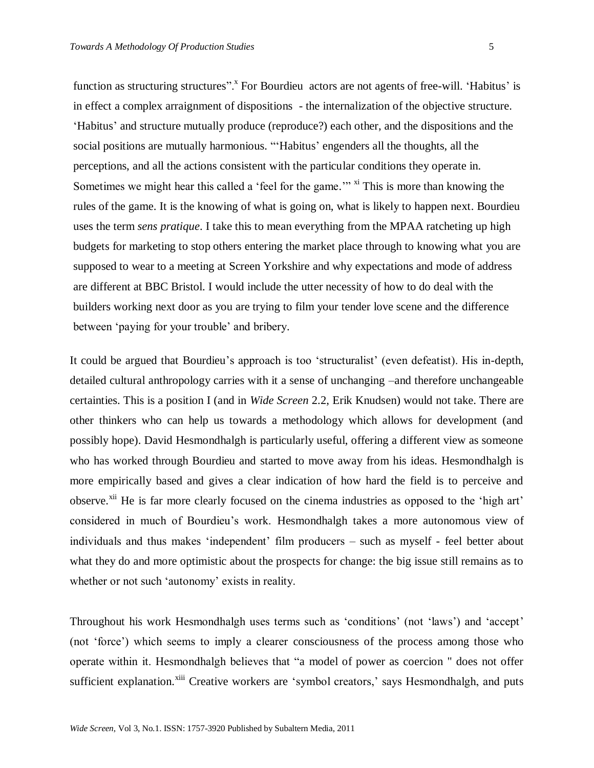function as structuring structures".<sup>x</sup> For Bourdieu actors are not agents of free-will. 'Habitus' is in effect a complex arraignment of dispositions - the internalization of the objective structure. "Habitus" and structure mutually produce (reproduce?) each other, and the dispositions and the social positions are mutually harmonious. "'Habitus' engenders all the thoughts, all the perceptions, and all the actions consistent with the particular conditions they operate in. Sometimes we might hear this called a 'feel for the game."<sup>" xi</sup> This is more than knowing the rules of the game. It is the knowing of what is going on, what is likely to happen next. Bourdieu uses the term *sens pratique*. I take this to mean everything from the MPAA ratcheting up high budgets for marketing to stop others entering the market place through to knowing what you are supposed to wear to a meeting at Screen Yorkshire and why expectations and mode of address are different at BBC Bristol. I would include the utter necessity of how to do deal with the builders working next door as you are trying to film your tender love scene and the difference between "paying for your trouble" and bribery.

It could be argued that Bourdieu"s approach is too "structuralist" (even defeatist). His in-depth, detailed cultural anthropology carries with it a sense of unchanging –and therefore unchangeable certainties. This is a position I (and in *Wide Screen* 2.2, Erik Knudsen) would not take. There are other thinkers who can help us towards a methodology which allows for development (and possibly hope). David Hesmondhalgh is particularly useful, offering a different view as someone who has worked through Bourdieu and started to move away from his ideas. Hesmondhalgh is more empirically based and gives a clear indication of how hard the field is to perceive and observe.<sup>xii</sup> He is far more clearly focused on the cinema industries as opposed to the 'high art' considered in much of Bourdieu"s work. Hesmondhalgh takes a more autonomous view of individuals and thus makes "independent" film producers – such as myself - feel better about what they do and more optimistic about the prospects for change: the big issue still remains as to whether or not such 'autonomy' exists in reality.

Throughout his work Hesmondhalgh uses terms such as "conditions" (not "laws") and "accept" (not "force") which seems to imply a clearer consciousness of the process among those who operate within it. Hesmondhalgh believes that "a model of power as coercion " does not offer sufficient explanation.<sup>xiii</sup> Creative workers are 'symbol creators,' says Hesmondhalgh, and puts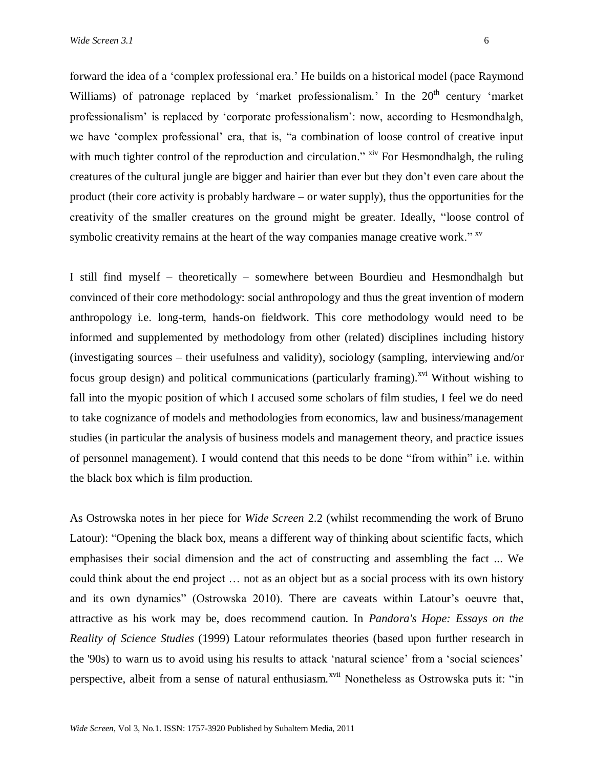forward the idea of a "complex professional era." He builds on a historical model (pace Raymond Williams) of patronage replaced by 'market professionalism.' In the  $20<sup>th</sup>$  century 'market professionalism" is replaced by "corporate professionalism": now, according to Hesmondhalgh, we have "complex professional" era, that is, "a combination of loose control of creative input with much tighter control of the reproduction and circulation." <sup>xiv</sup> For Hesmondhalgh, the ruling creatures of the cultural jungle are bigger and hairier than ever but they don"t even care about the product (their core activity is probably hardware – or water supply), thus the opportunities for the creativity of the smaller creatures on the ground might be greater. Ideally, "loose control of symbolic creativity remains at the heart of the way companies manage creative work." XV

I still find myself – theoretically – somewhere between Bourdieu and Hesmondhalgh but convinced of their core methodology: social anthropology and thus the great invention of modern anthropology i.e. long-term, hands-on fieldwork. This core methodology would need to be informed and supplemented by methodology from other (related) disciplines including history (investigating sources – their usefulness and validity), sociology (sampling, interviewing and/or focus group design) and political communications (particularly framing).<sup>xvi</sup> Without wishing to fall into the myopic position of which I accused some scholars of film studies, I feel we do need to take cognizance of models and methodologies from economics, law and business/management studies (in particular the analysis of business models and management theory, and practice issues of personnel management). I would contend that this needs to be done "from within" i.e. within the black box which is film production.

As Ostrowska notes in her piece for *Wide Screen* 2.2 (whilst recommending the work of Bruno Latour): "Opening the black box, means a different way of thinking about scientific facts, which emphasises their social dimension and the act of constructing and assembling the fact ... We could think about the end project … not as an object but as a social process with its own history and its own dynamics" (Ostrowska 2010). There are caveats within Latour"s oeuvre that, attractive as his work may be, does recommend caution. In *Pandora's Hope: Essays on the Reality of Science Studies* (1999) Latour reformulates theories (based upon further research in the '90s) to warn us to avoid using his results to attack 'natural science' from a 'social sciences' perspective, albeit from a sense of natural enthusiasm.<sup>xvii</sup> Nonetheless as Ostrowska puts it: "in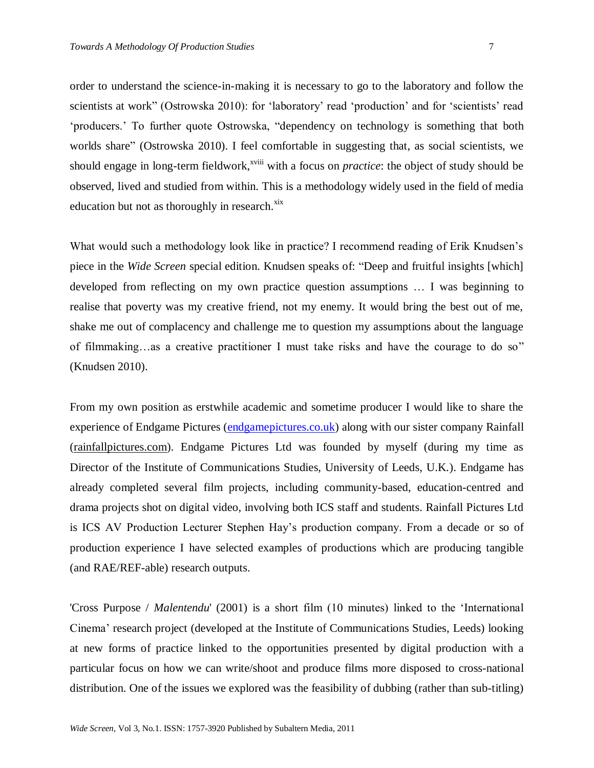order to understand the science-in-making it is necessary to go to the laboratory and follow the scientists at work" (Ostrowska 2010): for 'laboratory' read 'production' and for 'scientists' read "producers." To further quote Ostrowska, "dependency on technology is something that both worlds share" (Ostrowska 2010). I feel comfortable in suggesting that, as social scientists, we should engage in long-term fieldwork,<sup>xviii</sup> with a focus on *practice*: the object of study should be observed, lived and studied from within. This is a methodology widely used in the field of media education but not as thoroughly in research.<sup>xix</sup>

What would such a methodology look like in practice? I recommend reading of Erik Knudsen's piece in the *Wide Screen* special edition. Knudsen speaks of: "Deep and fruitful insights [which] developed from reflecting on my own practice question assumptions … I was beginning to realise that poverty was my creative friend, not my enemy. It would bring the best out of me, shake me out of complacency and challenge me to question my assumptions about the language of filmmaking…as a creative practitioner I must take risks and have the courage to do so" (Knudsen 2010).

From my own position as erstwhile academic and sometime producer I would like to share the experience of Endgame Pictures [\(endgamepictures.co.uk\)](http://www.endgamepictures.co.uk/) along with our sister company Rainfall (rainfallpictures.com). Endgame Pictures Ltd was founded by myself (during my time as Director of the Institute of Communications Studies, University of Leeds, U.K.). Endgame has already completed several film projects, including community-based, education-centred and drama projects shot on digital video, involving both ICS staff and students. Rainfall Pictures Ltd is ICS AV Production Lecturer Stephen Hay"s production company. From a decade or so of production experience I have selected examples of productions which are producing tangible (and RAE/REF-able) research outputs.

'Cross Purpose / *Malentendu*' (2001) is a short film (10 minutes) linked to the "International Cinema" research project (developed at the Institute of Communications Studies, Leeds) looking at new forms of practice linked to the opportunities presented by digital production with a particular focus on how we can write/shoot and produce films more disposed to cross-national distribution. One of the issues we explored was the feasibility of dubbing (rather than sub-titling)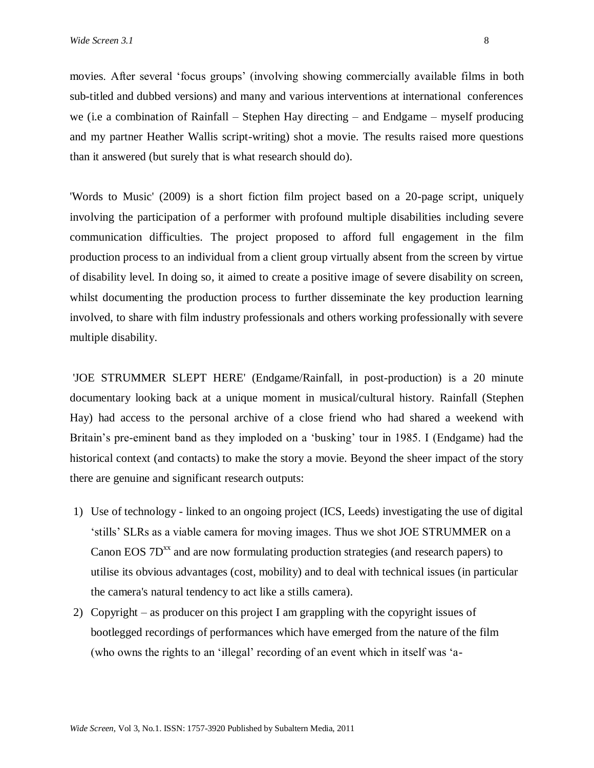movies. After several "focus groups" (involving showing commercially available films in both sub-titled and dubbed versions) and many and various interventions at international conferences we (i.e a combination of Rainfall – Stephen Hay directing – and Endgame – myself producing and my partner Heather Wallis script-writing) shot a movie. The results raised more questions than it answered (but surely that is what research should do).

'Words to Music' (2009) is a short fiction film project based on a 20-page script, uniquely involving the participation of a performer with profound multiple disabilities including severe communication difficulties. The project proposed to afford full engagement in the film production process to an individual from a client group virtually absent from the screen by virtue of disability level. In doing so, it aimed to create a positive image of severe disability on screen, whilst documenting the production process to further disseminate the key production learning involved, to share with film industry professionals and others working professionally with severe multiple disability.

'JOE STRUMMER SLEPT HERE' (Endgame/Rainfall, in post-production) is a 20 minute documentary looking back at a unique moment in musical/cultural history. Rainfall (Stephen Hay) had access to the personal archive of a close friend who had shared a weekend with Britain"s pre-eminent band as they imploded on a "busking" tour in 1985. I (Endgame) had the historical context (and contacts) to make the story a movie. Beyond the sheer impact of the story there are genuine and significant research outputs:

- 1) Use of technology linked to an ongoing project (ICS, Leeds) investigating the use of digital "stills" SLRs as a viable camera for moving images. Thus we shot JOE STRUMMER on a Canon EOS  $7D^{xx}$  and are now formulating production strategies (and research papers) to utilise its obvious advantages (cost, mobility) and to deal with technical issues (in particular the camera's natural tendency to act like a stills camera).
- 2) Copyright as producer on this project I am grappling with the copyright issues of bootlegged recordings of performances which have emerged from the nature of the film (who owns the rights to an "illegal" recording of an event which in itself was "a-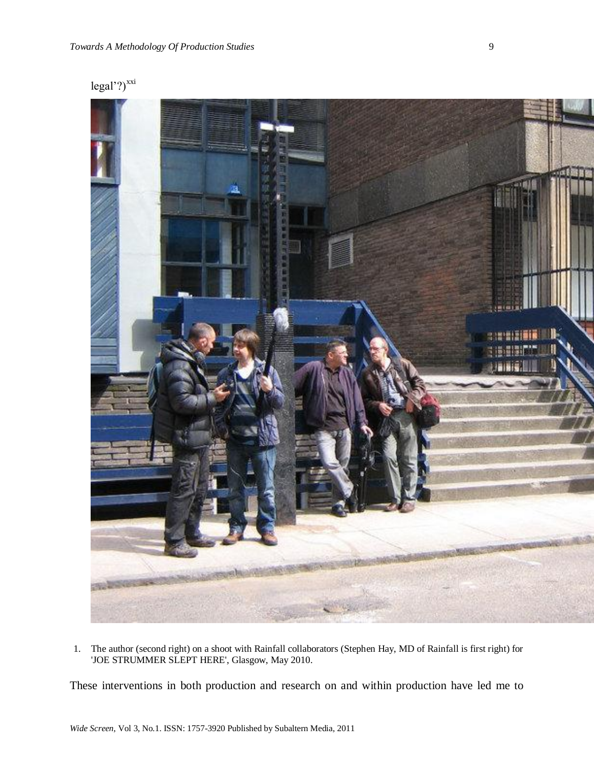legal'?)<sup>xxi</sup>



1. The author (second right) on a shoot with Rainfall collaborators (Stephen Hay, MD of Rainfall is first right) for 'JOE STRUMMER SLEPT HERE', Glasgow, May 2010.

These interventions in both production and research on and within production have led me to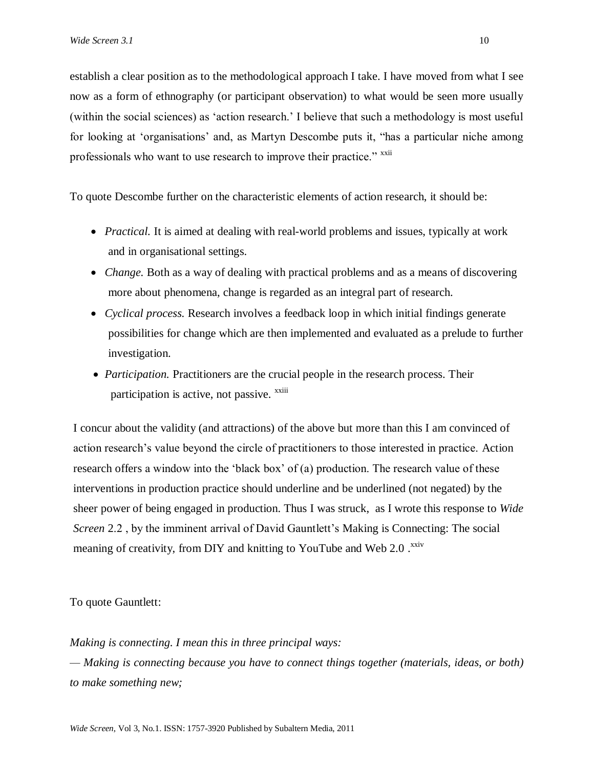establish a clear position as to the methodological approach I take. I have moved from what I see now as a form of ethnography (or participant observation) to what would be seen more usually (within the social sciences) as "action research." I believe that such a methodology is most useful for looking at "organisations" and, as Martyn Descombe puts it, "has a particular niche among professionals who want to use research to improve their practice." <sup>xxii</sup>

To quote Descombe further on the characteristic elements of action research, it should be:

- *Practical.* It is aimed at dealing with real-world problems and issues, typically at work and in organisational settings.
- *Change.* Both as a way of dealing with practical problems and as a means of discovering more about phenomena, change is regarded as an integral part of research.
- *Cyclical process.* Research involves a feedback loop in which initial findings generate possibilities for change which are then implemented and evaluated as a prelude to further investigation.
- *Participation.* Practitioners are the crucial people in the research process. Their participation is active, not passive. <sup>xxiii</sup>

I concur about the validity (and attractions) of the above but more than this I am convinced of action research"s value beyond the circle of practitioners to those interested in practice. Action research offers a window into the 'black box' of (a) production. The research value of these interventions in production practice should underline and be underlined (not negated) by the sheer power of being engaged in production. Thus I was struck, as I wrote this response to *Wide Screen* 2.2, by the imminent arrival of David Gauntlett's Making is Connecting: The social meaning of creativity, from DIY and knitting to YouTube and Web 2.0.<sup>xxiv</sup>

## To quote Gauntlett:

*Making is connecting. I mean this in three principal ways:* 

*— Making is connecting because you have to connect things together (materials, ideas, or both) to make something new;*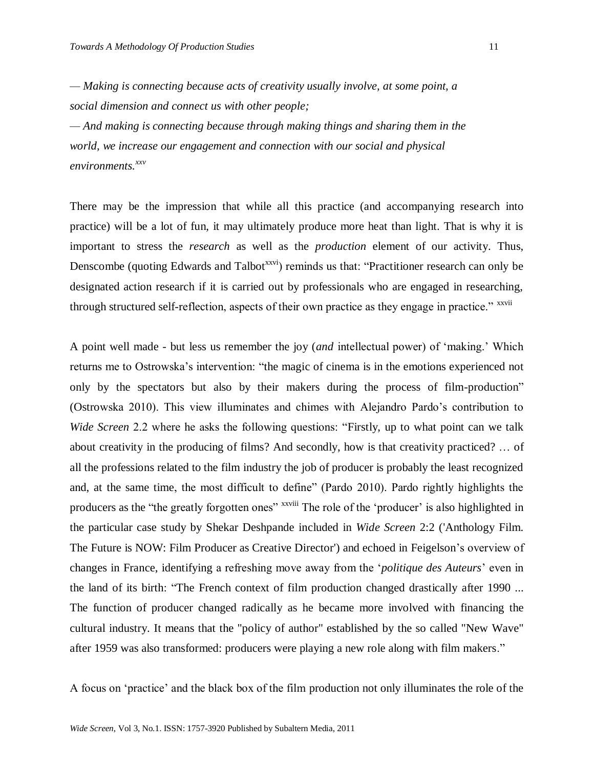*— Making is connecting because acts of creativity usually involve, at some point, a social dimension and connect us with other people;* 

*— And making is connecting because through making things and sharing them in the world, we increase our engagement and connection with our social and physical environments. xxv*

There may be the impression that while all this practice (and accompanying research into practice) will be a lot of fun, it may ultimately produce more heat than light. That is why it is important to stress the *research* as well as the *production* element of our activity. Thus, Denscombe (quoting Edwards and Talbot<sup>xxvi</sup>) reminds us that: "Practitioner research can only be designated action research if it is carried out by professionals who are engaged in researching, through structured self-reflection, aspects of their own practice as they engage in practice." xxvii

A point well made - but less us remember the joy (*and* intellectual power) of "making." Which returns me to Ostrowska's intervention: "the magic of cinema is in the emotions experienced not only by the spectators but also by their makers during the process of film-production" (Ostrowska 2010). This view illuminates and chimes with Alejandro Pardo"s contribution to *Wide Screen* 2.2 where he asks the following questions: "Firstly, up to what point can we talk about creativity in the producing of films? And secondly, how is that creativity practiced? … of all the professions related to the film industry the job of producer is probably the least recognized and, at the same time, the most difficult to define" (Pardo 2010). Pardo rightly highlights the producers as the "the greatly forgotten ones" x<sup>xviii</sup> The role of the 'producer' is also highlighted in the particular case study by Shekar Deshpande included in *Wide Screen* 2:2 ('Anthology Film. The Future is NOW: Film Producer as Creative Director') and echoed in Feigelson"s overview of changes in France, identifying a refreshing move away from the "*politique des Auteurs*" even in the land of its birth: "The French context of film production changed drastically after 1990 ... The function of producer changed radically as he became more involved with financing the cultural industry. It means that the "policy of author" established by the so called "New Wave" after 1959 was also transformed: producers were playing a new role along with film makers."

A focus on "practice" and the black box of the film production not only illuminates the role of the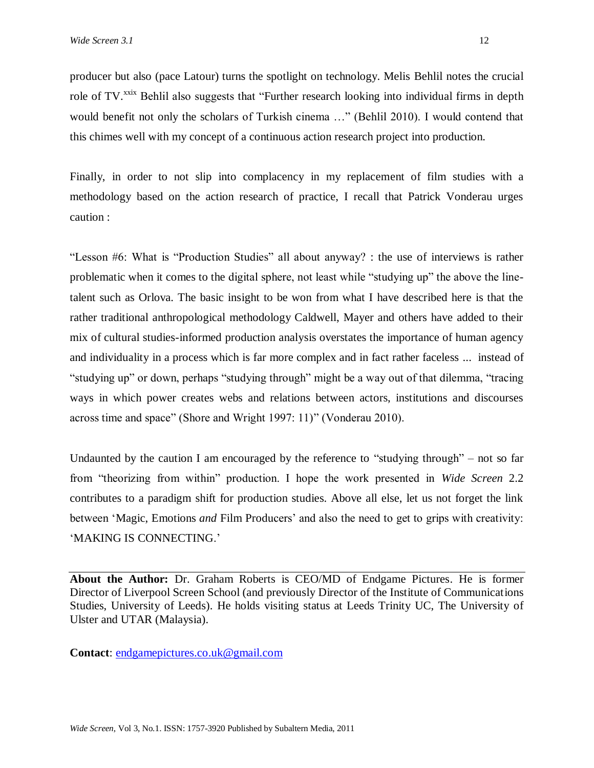producer but also (pace Latour) turns the spotlight on technology. Melis Behlil notes the crucial role of TV.<sup>xxix</sup> Behlil also suggests that "Further research looking into individual firms in depth would benefit not only the scholars of Turkish cinema …" (Behlil 2010). I would contend that this chimes well with my concept of a continuous action research project into production.

Finally, in order to not slip into complacency in my replacement of film studies with a methodology based on the action research of practice, I recall that Patrick Vonderau urges caution :

"Lesson #6: What is "Production Studies" all about anyway? : the use of interviews is rather problematic when it comes to the digital sphere, not least while "studying up" the above the linetalent such as Orlova. The basic insight to be won from what I have described here is that the rather traditional anthropological methodology Caldwell, Mayer and others have added to their mix of cultural studies-informed production analysis overstates the importance of human agency and individuality in a process which is far more complex and in fact rather faceless ... instead of "studying up" or down, perhaps "studying through" might be a way out of that dilemma, "tracing ways in which power creates webs and relations between actors, institutions and discourses across time and space" (Shore and Wright 1997: 11)" (Vonderau 2010).

Undaunted by the caution I am encouraged by the reference to "studying through" – not so far from "theorizing from within" production. I hope the work presented in *Wide Screen* 2.2 contributes to a paradigm shift for production studies. Above all else, let us not forget the link between 'Magic, Emotions *and* Film Producers' and also the need to get to grips with creativity: 'MAKING IS CONNECTING.'

**About the Author:** Dr. Graham Roberts is CEO/MD of Endgame Pictures. He is former Director of Liverpool Screen School (and previously Director of the Institute of Communications Studies, University of Leeds). He holds visiting status at Leeds Trinity UC, The University of Ulster and UTAR (Malaysia).

**Contact**: [endgamepictures.co.uk@gmail.com](mailto:endgamepictures.co.uk@gmail.com)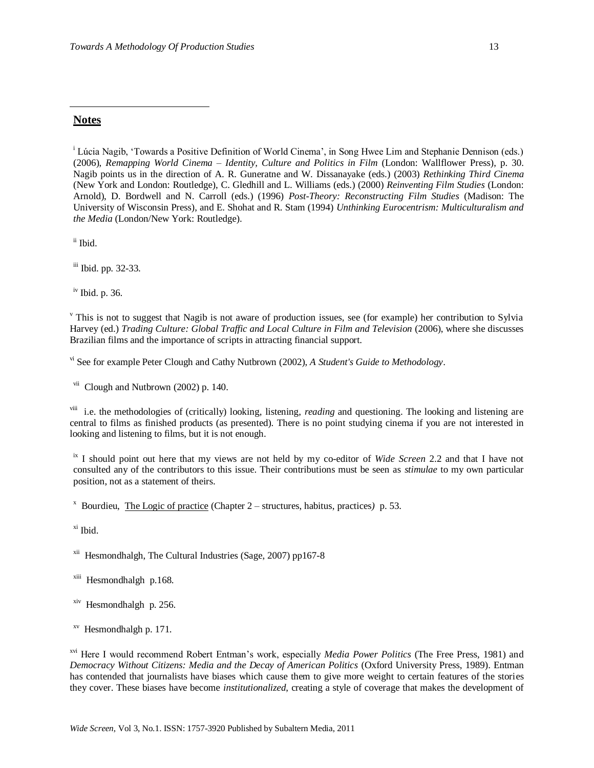### **Notes**

 $\overline{a}$ 

<sup>i</sup> Lúcia Nagib, 'Towards a Positive Definition of World Cinema', in Song Hwee Lim and Stephanie Dennison (eds.) (2006), *Remapping World Cinema – Identity, Culture and Politics in Film* (London: Wallflower Press), p. 30. Nagib points us in the direction of A. R. Guneratne and W. Dissanayake (eds.) (2003) *Rethinking Third Cinema* (New York and London: Routledge), C. Gledhill and L. Williams (eds.) (2000) *Reinventing Film Studies* (London: Arnold), D. Bordwell and N. Carroll (eds.) (1996) *Post-Theory: Reconstructing Film Studies* (Madison: The University of Wisconsin Press), and E. Shohat and R. Stam (1994) *Unthinking Eurocentrism: Multiculturalism and the Media* (London/New York: Routledge).

ii Ibid.

iii Ibid. pp. 32-33.

iv Ibid. p. 36.

 $\overline{v}$ . This is not to suggest that Nagib is not aware of production issues, see (for example) her contribution to Sylvia Harvey (ed.) *Trading Culture: Global Traffic and Local Culture in Film and Television* (2006), where she discusses Brazilian films and the importance of scripts in attracting financial support.

vi See for example Peter Clough and Cathy Nutbrown (2002), *A Student's Guide to Methodology*.

vii Clough and Nutbrown (2002) p. 140.

viii i.e. the methodologies of (critically) looking, listening, *reading* and questioning. The looking and listening are central to films as finished products (as presented). There is no point studying cinema if you are not interested in looking and listening to films, but it is not enough.

ix I should point out here that my views are not held by my co-editor of *Wide Screen* 2.2 and that I have not consulted any of the contributors to this issue. Their contributions must be seen as *stimulae* to my own particular position, not as a statement of theirs.

x Bourdieu, The Logic of practice (Chapter 2 – structures, habitus, practices*)* p. 53.

xi Ibid.

xii Hesmondhalgh, The Cultural Industries (Sage, 2007) pp167-8

xiii Hesmondhalgh p.168.

xiv Hesmondhalgh p. 256.

xv Hesmondhalgh p. 171.

xvi Here I would recommend Robert Entman"s work, especially *Media Power Politics* (The Free Press, 1981) and *Democracy Without Citizens: Media and the Decay of American Politics* (Oxford University Press, 1989). Entman has contended that journalists have biases which cause them to give more weight to certain features of the stories they cover. These biases have become *institutionalized*, creating a style of coverage that makes the development of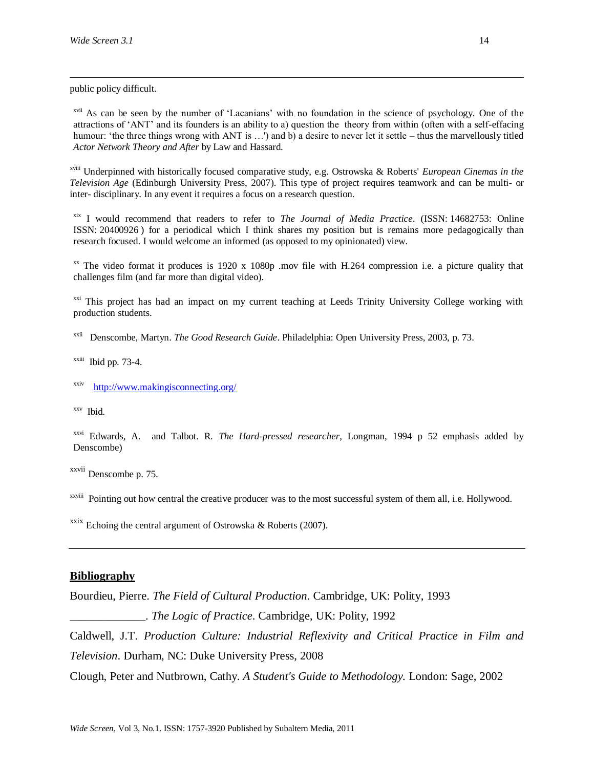$\overline{a}$ 

public policy difficult.

xvii As can be seen by the number of "Lacanians" with no foundation in the science of psychology. One of the attractions of "ANT" and its founders is an ability to a) question the theory from within (often with a self-effacing humour: "the three things wrong with ANT is ...") and b) a desire to never let it settle – thus the marvellously titled *Actor Network Theory and After* by Law and Hassard.

xviii Underpinned with historically focused comparative study, e.g. Ostrowska & Roberts' *European Cinemas in the Television Age* (Edinburgh University Press, 2007). This type of project requires teamwork and can be multi- or inter- disciplinary. In any event it requires a focus on a research question.

xix I would recommend that readers to refer to *The Journal of Media Practice*. (ISSN: 14682753: Online ISSN: 20400926 ) for a periodical which I think shares my position but is remains more pedagogically than research focused. I would welcome an informed (as opposed to my opinionated) view.

 $\frac{1}{x}$  The video format it produces is 1920 x 1080p .mov file with H.264 compression i.e. a picture quality that challenges film (and far more than digital video).

<sup>xxi</sup> This project has had an impact on my current teaching at Leeds Trinity University College working with production students.

xxii Denscombe, Martyn. *The Good Research Guide*. Philadelphia: Open University Press, 2003, p. 73.

 $x$ <sup>xxiii</sup> Ibid pp. 73-4.

xxiv <http://www.makingisconnecting.org/>

xxv Ibid.

xxvi Edwards, A. and Talbot. R. *The Hard-pressed researcher*, Longman, 1994 p 52 emphasis added by Denscombe)

xxvii Denscombe p. 75.

xxviii Pointing out how central the creative producer was to the most successful system of them all, i.e. Hollywood.

 $\frac{xxix}{x}$  Echoing the central argument of Ostrowska & Roberts (2007).

#### **Bibliography**

Bourdieu, Pierre. *The Field of Cultural Production*. Cambridge, UK: Polity, 1993

\_\_\_\_\_\_\_\_\_\_\_\_\_. *The Logic of Practice*. Cambridge, UK: Polity, 1992

Caldwell, J.T. *Production Culture: Industrial Reflexivity and Critical Practice in Film and Television*. Durham, NC: Duke University Press, 2008

Clough, Peter and Nutbrown, Cathy. *A Student's Guide to Methodology.* London: Sage, 2002